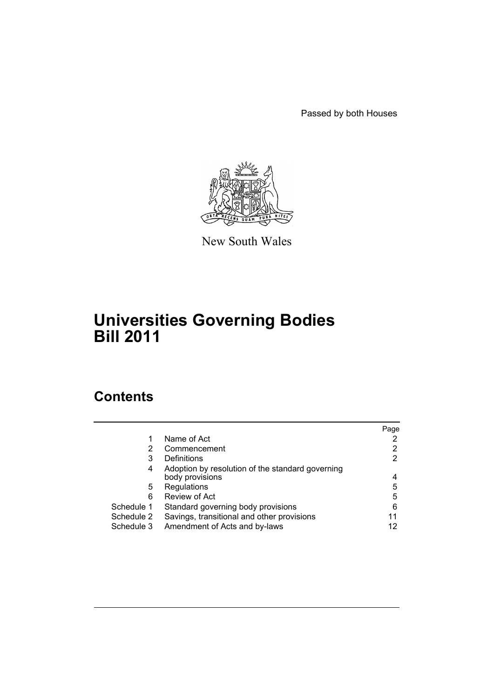Passed by both Houses



New South Wales

# **Universities Governing Bodies Bill 2011**

# **Contents**

|            |                                                                     | Page |
|------------|---------------------------------------------------------------------|------|
|            | Name of Act                                                         |      |
| 2          | Commencement                                                        | 2    |
| 3          | Definitions                                                         | 2    |
| 4          | Adoption by resolution of the standard governing<br>body provisions | 4    |
| 5          | Regulations                                                         | 5    |
| 6          | Review of Act                                                       | 5    |
| Schedule 1 | Standard governing body provisions                                  | 6    |
| Schedule 2 | Savings, transitional and other provisions                          | 11   |
| Schedule 3 | Amendment of Acts and by-laws                                       | 12   |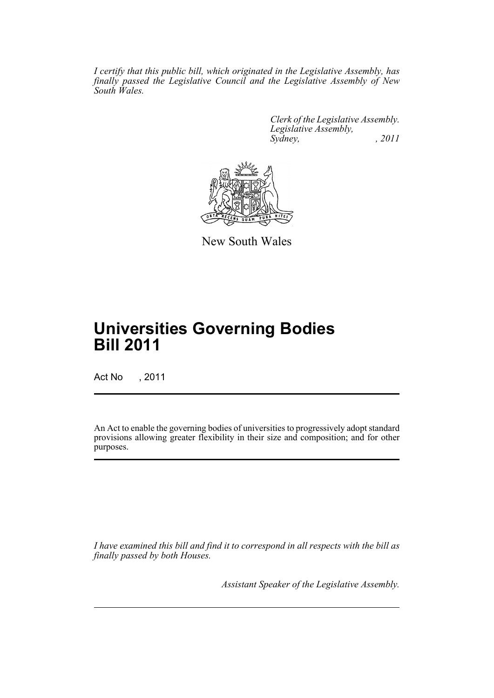*I certify that this public bill, which originated in the Legislative Assembly, has finally passed the Legislative Council and the Legislative Assembly of New South Wales.*

> *Clerk of the Legislative Assembly. Legislative Assembly, Sydney, , 2011*



New South Wales

# **Universities Governing Bodies Bill 2011**

Act No , 2011

An Act to enable the governing bodies of universities to progressively adopt standard provisions allowing greater flexibility in their size and composition; and for other purposes.

*I have examined this bill and find it to correspond in all respects with the bill as finally passed by both Houses.*

*Assistant Speaker of the Legislative Assembly.*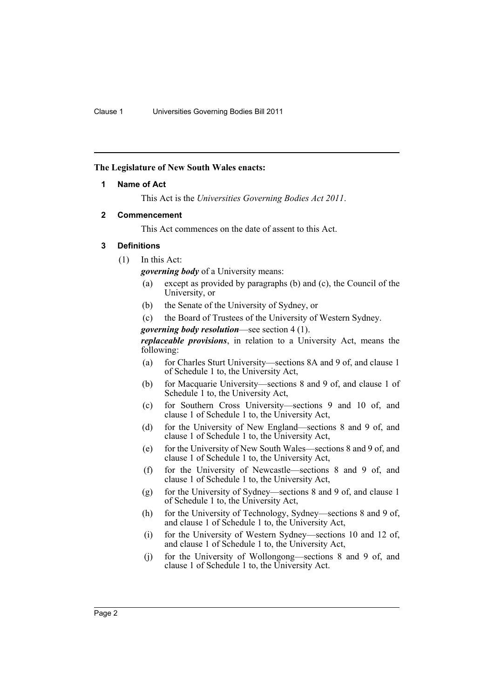#### <span id="page-2-0"></span>**The Legislature of New South Wales enacts:**

#### **1 Name of Act**

This Act is the *Universities Governing Bodies Act 2011*.

#### <span id="page-2-1"></span>**2 Commencement**

This Act commences on the date of assent to this Act.

# <span id="page-2-2"></span>**3 Definitions**

(1) In this Act:

*governing body* of a University means:

- (a) except as provided by paragraphs (b) and (c), the Council of the University, or
- (b) the Senate of the University of Sydney, or
- (c) the Board of Trustees of the University of Western Sydney.
- *governing body resolution*—see section 4 (1).

*replaceable provisions*, in relation to a University Act, means the following:

- (a) for Charles Sturt University—sections 8A and 9 of, and clause 1 of Schedule 1 to, the University Act,
- (b) for Macquarie University—sections 8 and 9 of, and clause 1 of Schedule 1 to, the University Act,
- (c) for Southern Cross University—sections 9 and 10 of, and clause 1 of Schedule 1 to, the University Act,
- (d) for the University of New England—sections 8 and 9 of, and clause 1 of Schedule 1 to, the University Act,
- (e) for the University of New South Wales—sections 8 and 9 of, and clause 1 of Schedule 1 to, the University Act,
- (f) for the University of Newcastle—sections 8 and 9 of, and clause 1 of Schedule 1 to, the University Act,
- (g) for the University of Sydney—sections 8 and 9 of, and clause 1 of Schedule 1 to, the University Act,
- (h) for the University of Technology, Sydney—sections 8 and 9 of, and clause 1 of Schedule 1 to, the University Act,
- (i) for the University of Western Sydney—sections 10 and 12 of, and clause 1 of Schedule 1 to, the University Act,
- (j) for the University of Wollongong—sections 8 and 9 of, and clause 1 of Schedule 1 to, the University Act.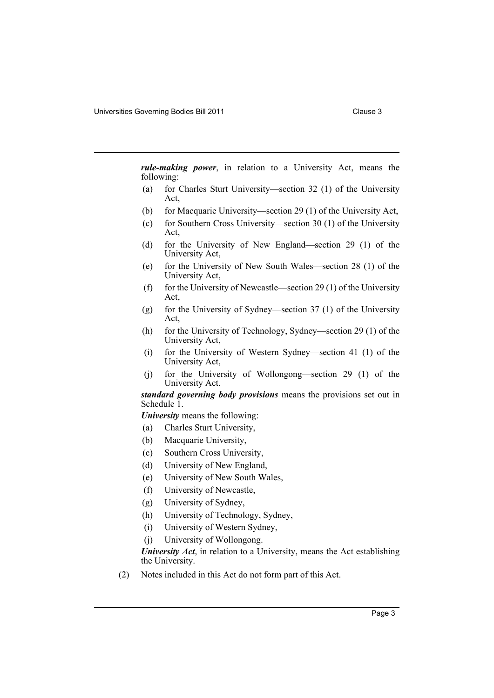*rule-making power*, in relation to a University Act, means the following:

- (a) for Charles Sturt University—section 32 (1) of the University Act,
- (b) for Macquarie University—section 29 (1) of the University Act,
- (c) for Southern Cross University—section 30 (1) of the University Act,
- (d) for the University of New England—section 29 (1) of the University Act,
- (e) for the University of New South Wales—section 28 (1) of the University Act,
- (f) for the University of Newcastle—section 29 (1) of the University Act,
- (g) for the University of Sydney—section 37 (1) of the University Act,
- (h) for the University of Technology, Sydney—section 29 (1) of the University Act,
- (i) for the University of Western Sydney—section 41 (1) of the University Act,
- (j) for the University of Wollongong—section 29 (1) of the University Act.

*standard governing body provisions* means the provisions set out in Schedule 1.

*University* means the following:

- (a) Charles Sturt University,
- (b) Macquarie University,
- (c) Southern Cross University,
- (d) University of New England,
- (e) University of New South Wales,
- (f) University of Newcastle,
- (g) University of Sydney,
- (h) University of Technology, Sydney,
- (i) University of Western Sydney,
- (j) University of Wollongong.

*University Act*, in relation to a University, means the Act establishing the University.

(2) Notes included in this Act do not form part of this Act.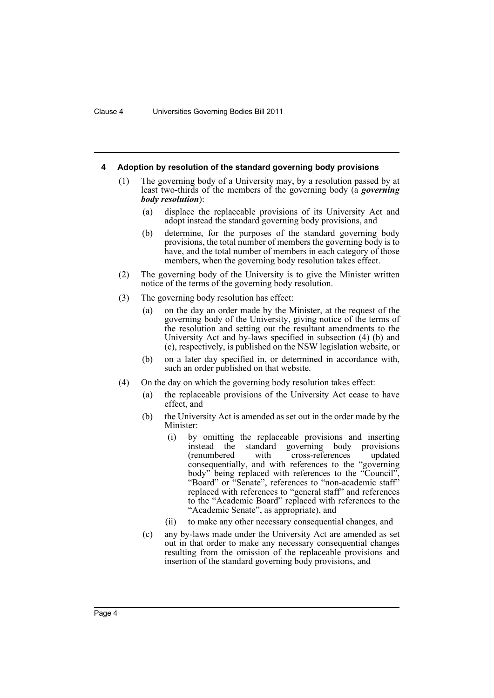#### <span id="page-4-0"></span>**4 Adoption by resolution of the standard governing body provisions**

- (1) The governing body of a University may, by a resolution passed by at least two-thirds of the members of the governing body (a *governing body resolution*):
	- (a) displace the replaceable provisions of its University Act and adopt instead the standard governing body provisions, and
	- (b) determine, for the purposes of the standard governing body provisions, the total number of members the governing body is to have, and the total number of members in each category of those members, when the governing body resolution takes effect.
- (2) The governing body of the University is to give the Minister written notice of the terms of the governing body resolution.
- (3) The governing body resolution has effect:
	- (a) on the day an order made by the Minister, at the request of the governing body of the University, giving notice of the terms of the resolution and setting out the resultant amendments to the University Act and by-laws specified in subsection (4) (b) and (c), respectively, is published on the NSW legislation website, or
	- (b) on a later day specified in, or determined in accordance with, such an order published on that website.
- (4) On the day on which the governing body resolution takes effect:
	- (a) the replaceable provisions of the University Act cease to have effect, and
	- (b) the University Act is amended as set out in the order made by the Minister:
		- (i) by omitting the replaceable provisions and inserting instead the standard governing body provisions (renumbered with cross-references updated consequentially, and with references to the "governing body" being replaced with references to the "Council", "Board" or "Senate", references to "non-academic staff" replaced with references to "general staff" and references to the "Academic Board" replaced with references to the "Academic Senate", as appropriate), and
		- (ii) to make any other necessary consequential changes, and
	- (c) any by-laws made under the University Act are amended as set out in that order to make any necessary consequential changes resulting from the omission of the replaceable provisions and insertion of the standard governing body provisions, and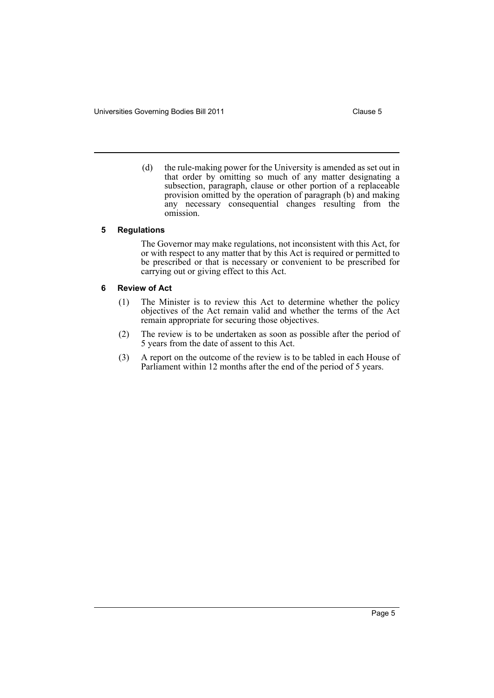- 
- (d) the rule-making power for the University is amended as set out in that order by omitting so much of any matter designating a subsection, paragraph, clause or other portion of a replaceable provision omitted by the operation of paragraph (b) and making any necessary consequential changes resulting from the omission.

#### <span id="page-5-0"></span>**5 Regulations**

The Governor may make regulations, not inconsistent with this Act, for or with respect to any matter that by this Act is required or permitted to be prescribed or that is necessary or convenient to be prescribed for carrying out or giving effect to this Act.

#### <span id="page-5-1"></span>**6 Review of Act**

- (1) The Minister is to review this Act to determine whether the policy objectives of the Act remain valid and whether the terms of the Act remain appropriate for securing those objectives.
- (2) The review is to be undertaken as soon as possible after the period of 5 years from the date of assent to this Act.
- (3) A report on the outcome of the review is to be tabled in each House of Parliament within 12 months after the end of the period of 5 years.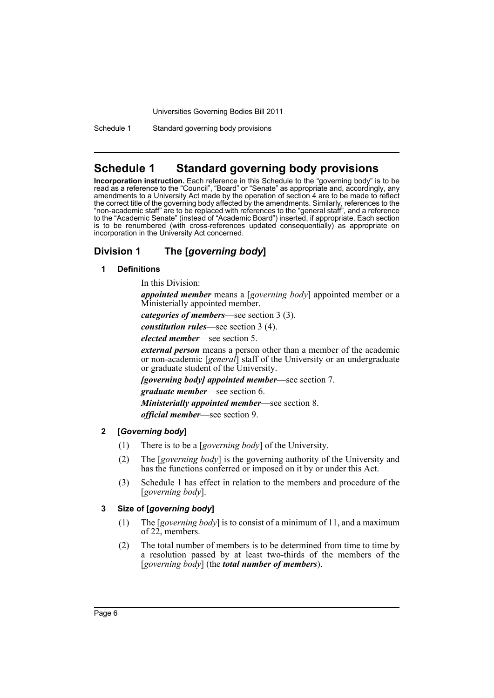Schedule 1 Standard governing body provisions

# <span id="page-6-0"></span>**Schedule 1 Standard governing body provisions**

**Incorporation instruction.** Each reference in this Schedule to the "governing body" is to be read as a reference to the "Council", "Board" or "Senate" as appropriate and, accordingly, any amendments to a University Act made by the operation of section 4 are to be made to reflect the correct title of the governing body affected by the amendments. Similarly, references to the "non-academic staff" are to be replaced with references to the "general staff", and a reference to the "Academic Senate" (instead of "Academic Board") inserted, if appropriate. Each section is to be renumbered (with cross-references updated consequentially) as appropriate on incorporation in the University Act concerned.

# **Division 1 The [***governing body***]**

#### **1 Definitions**

In this Division:

*appointed member* means a [*governing body*] appointed member or a Ministerially appointed member.

*categories of members*—see section 3 (3).

*constitution rules*—see section 3 (4).

*elected member*—see section 5.

*external person* means a person other than a member of the academic or non-academic [*general*] staff of the University or an undergraduate or graduate student of the University.

*[governing body] appointed member*—see section 7.

*graduate member*—see section 6.

*Ministerially appointed member*—see section 8.

*official member*—see section 9.

# **2 [***Governing body***]**

- (1) There is to be a [*governing body*] of the University.
- (2) The [*governing body*] is the governing authority of the University and has the functions conferred or imposed on it by or under this Act.
- (3) Schedule 1 has effect in relation to the members and procedure of the [*governing body*].

# **3 Size of [***governing body***]**

- (1) The [*governing body*] is to consist of a minimum of 11, and a maximum of 22, members.
- (2) The total number of members is to be determined from time to time by a resolution passed by at least two-thirds of the members of the [*governing body*] (the *total number of members*).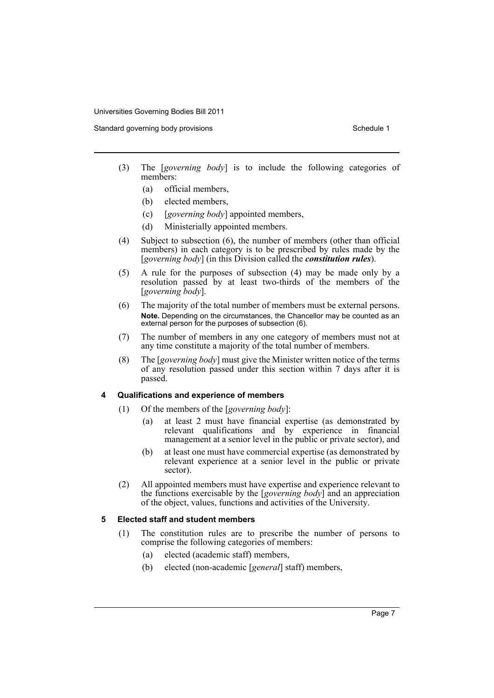Standard governing body provisions Schedule 1 and Schedule 1

- (3) The [*governing body*] is to include the following categories of members:
	- (a) official members,
	- (b) elected members,
	- (c) [*governing body*] appointed members,
	- (d) Ministerially appointed members.
- (4) Subject to subsection (6), the number of members (other than official members) in each category is to be prescribed by rules made by the [*governing body*] (in this Division called the *constitution rules*).
- (5) A rule for the purposes of subsection (4) may be made only by a resolution passed by at least two-thirds of the members of the [*governing body*].
- (6) The majority of the total number of members must be external persons. **Note.** Depending on the circumstances, the Chancellor may be counted as an external person for the purposes of subsection (6).
- (7) The number of members in any one category of members must not at any time constitute a majority of the total number of members.
- (8) The [*governing body*] must give the Minister written notice of the terms of any resolution passed under this section within 7 days after it is passed.

#### **4 Qualifications and experience of members**

- (1) Of the members of the [*governing body*]:
	- (a) at least 2 must have financial expertise (as demonstrated by relevant qualifications and by experience in financial management at a senior level in the public or private sector), and
	- (b) at least one must have commercial expertise (as demonstrated by relevant experience at a senior level in the public or private sector).
- (2) All appointed members must have expertise and experience relevant to the functions exercisable by the [*governing body*] and an appreciation of the object, values, functions and activities of the University.

#### **5 Elected staff and student members**

- (1) The constitution rules are to prescribe the number of persons to comprise the following categories of members:
	- (a) elected (academic staff) members,
	- (b) elected (non-academic [*general*] staff) members,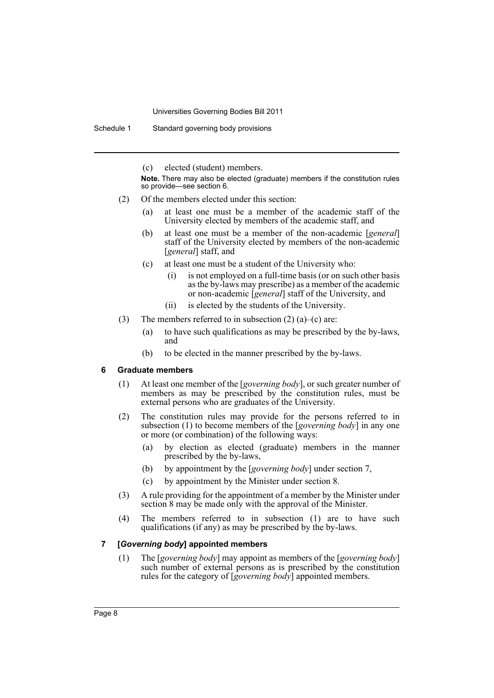Schedule 1 Standard governing body provisions

(c) elected (student) members.

**Note.** There may also be elected (graduate) members if the constitution rules so provide—see section 6.

- (2) Of the members elected under this section:
	- (a) at least one must be a member of the academic staff of the University elected by members of the academic staff, and
	- (b) at least one must be a member of the non-academic [*general*] staff of the University elected by members of the non-academic [*general*] staff, and
	- (c) at least one must be a student of the University who:
		- (i) is not employed on a full-time basis (or on such other basis as the by-laws may prescribe) as a member of the academic or non-academic [*general*] staff of the University, and
		- (ii) is elected by the students of the University.
- (3) The members referred to in subsection  $(2)$  (a)–(c) are:
	- (a) to have such qualifications as may be prescribed by the by-laws, and
	- (b) to be elected in the manner prescribed by the by-laws.

#### **6 Graduate members**

- (1) At least one member of the [*governing body*], or such greater number of members as may be prescribed by the constitution rules, must be external persons who are graduates of the University.
- (2) The constitution rules may provide for the persons referred to in subsection (1) to become members of the [*governing body*] in any one or more (or combination) of the following ways:
	- (a) by election as elected (graduate) members in the manner prescribed by the by-laws,
	- (b) by appointment by the [*governing body*] under section 7,
	- (c) by appointment by the Minister under section 8.
- (3) A rule providing for the appointment of a member by the Minister under section 8 may be made only with the approval of the Minister.
- (4) The members referred to in subsection (1) are to have such qualifications (if any) as may be prescribed by the by-laws.

#### **7 [***Governing body***] appointed members**

(1) The [*governing body*] may appoint as members of the [*governing body*] such number of external persons as is prescribed by the constitution rules for the category of [*governing body*] appointed members.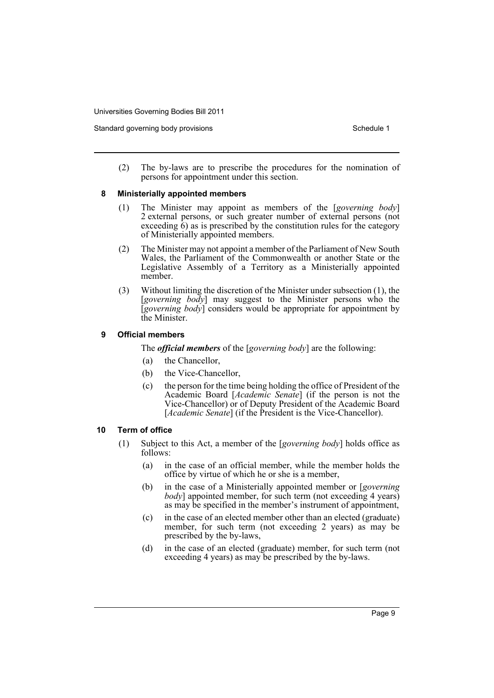Standard governing body provisions Schedule 1 and Schedule 1

(2) The by-laws are to prescribe the procedures for the nomination of persons for appointment under this section.

#### **8 Ministerially appointed members**

- (1) The Minister may appoint as members of the [*governing body*] 2 external persons, or such greater number of external persons (not exceeding  $\hat{6}$ ) as is prescribed by the constitution rules for the category of Ministerially appointed members.
- (2) The Minister may not appoint a member of the Parliament of New South Wales, the Parliament of the Commonwealth or another State or the Legislative Assembly of a Territory as a Ministerially appointed member.
- (3) Without limiting the discretion of the Minister under subsection (1), the [*governing body*] may suggest to the Minister persons who the [*governing body*] considers would be appropriate for appointment by the Minister.

#### **9 Official members**

The *official members* of the [*governing body*] are the following:

- (a) the Chancellor,
- (b) the Vice-Chancellor,
- (c) the person for the time being holding the office of President of the Academic Board [*Academic Senate*] (if the person is not the Vice-Chancellor) or of Deputy President of the Academic Board [*Academic Senate*] (if the President is the Vice-Chancellor).

#### **10 Term of office**

- (1) Subject to this Act, a member of the [*governing body*] holds office as follows:
	- (a) in the case of an official member, while the member holds the office by virtue of which he or she is a member,
	- (b) in the case of a Ministerially appointed member or [*governing body*] appointed member, for such term (not exceeding 4 years) as may be specified in the member's instrument of appointment,
	- (c) in the case of an elected member other than an elected (graduate) member, for such term (not exceeding 2 years) as may be prescribed by the by-laws,
	- (d) in the case of an elected (graduate) member, for such term (not exceeding 4 years) as may be prescribed by the by-laws.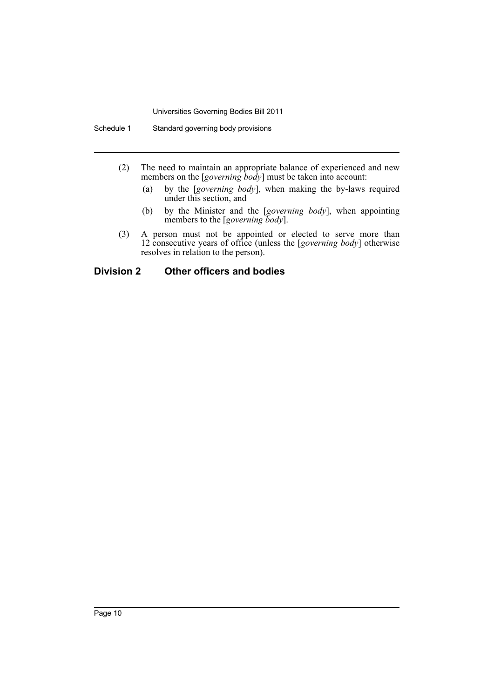- (2) The need to maintain an appropriate balance of experienced and new members on the [*governing body*] must be taken into account:
	- (a) by the [*governing body*], when making the by-laws required under this section, and
	- (b) by the Minister and the [*governing body*], when appointing members to the [*governing body*].
- (3) A person must not be appointed or elected to serve more than 12 consecutive years of office (unless the [*governing body*] otherwise resolves in relation to the person).

# **Division 2 Other officers and bodies**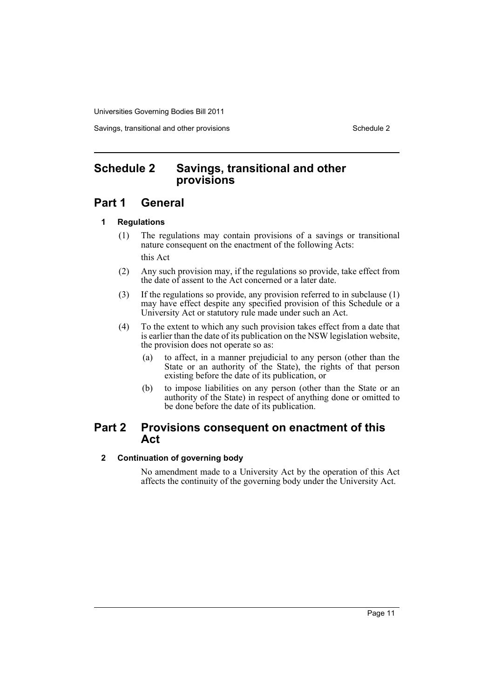Savings, transitional and other provisions Schedule 2 and Schedule 2

# <span id="page-11-0"></span>**Schedule 2 Savings, transitional and other provisions**

# **Part 1 General**

# **1 Regulations**

- (1) The regulations may contain provisions of a savings or transitional nature consequent on the enactment of the following Acts: this Act
- (2) Any such provision may, if the regulations so provide, take effect from the date of assent to the Act concerned or a later date.
- (3) If the regulations so provide, any provision referred to in subclause (1) may have effect despite any specified provision of this Schedule or a University Act or statutory rule made under such an Act.
- (4) To the extent to which any such provision takes effect from a date that is earlier than the date of its publication on the NSW legislation website, the provision does not operate so as:
	- (a) to affect, in a manner prejudicial to any person (other than the State or an authority of the State), the rights of that person existing before the date of its publication, or
	- (b) to impose liabilities on any person (other than the State or an authority of the State) in respect of anything done or omitted to be done before the date of its publication.

# **Part 2 Provisions consequent on enactment of this Act**

# **2 Continuation of governing body**

No amendment made to a University Act by the operation of this Act affects the continuity of the governing body under the University Act.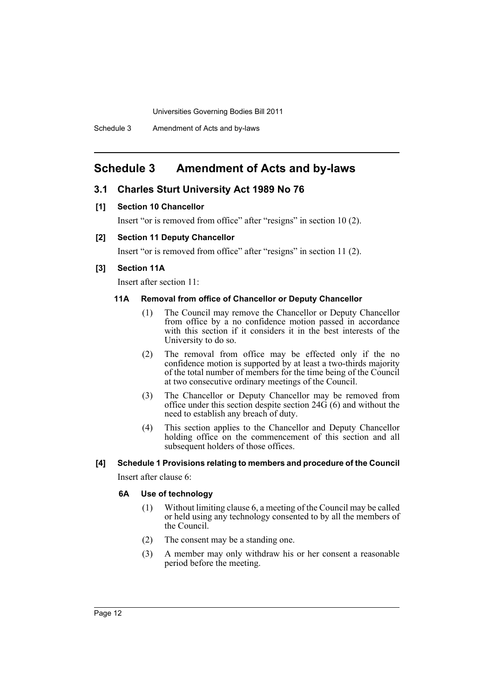# <span id="page-12-0"></span>**Schedule 3 Amendment of Acts and by-laws**

# **3.1 Charles Sturt University Act 1989 No 76**

#### **[1] Section 10 Chancellor**

Insert "or is removed from office" after "resigns" in section 10 (2).

#### **[2] Section 11 Deputy Chancellor**

Insert "or is removed from office" after "resigns" in section 11 (2).

#### **[3] Section 11A**

Insert after section 11:

#### **11A Removal from office of Chancellor or Deputy Chancellor**

- (1) The Council may remove the Chancellor or Deputy Chancellor from office by a no confidence motion passed in accordance with this section if it considers it in the best interests of the University to do so.
- (2) The removal from office may be effected only if the no confidence motion is supported by at least a two-thirds majority of the total number of members for the time being of the Council at two consecutive ordinary meetings of the Council.
- (3) The Chancellor or Deputy Chancellor may be removed from office under this section despite section  $24\overrightarrow{G}(6)$  and without the need to establish any breach of duty.
- (4) This section applies to the Chancellor and Deputy Chancellor holding office on the commencement of this section and all subsequent holders of those offices.

# **[4] Schedule 1 Provisions relating to members and procedure of the Council**

Insert after clause 6:

#### **6A Use of technology**

- (1) Without limiting clause 6, a meeting of the Council may be called or held using any technology consented to by all the members of the Council.
- (2) The consent may be a standing one.
- (3) A member may only withdraw his or her consent a reasonable period before the meeting.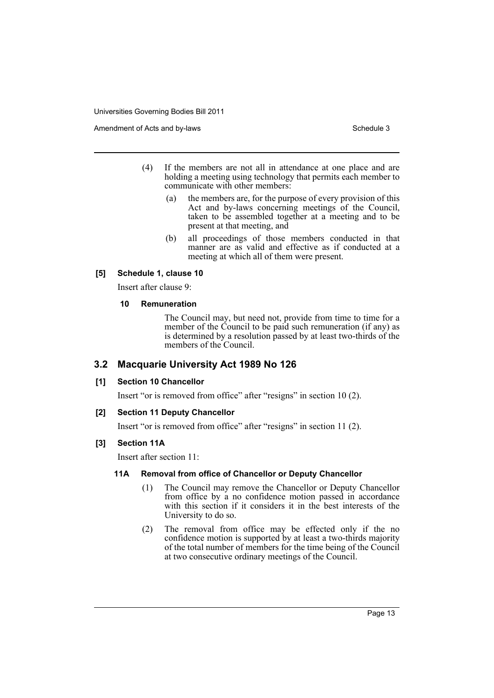Amendment of Acts and by-laws Schedule 3 and  $\frac{1}{2}$  Schedule 3

- (4) If the members are not all in attendance at one place and are holding a meeting using technology that permits each member to communicate with other members:
	- (a) the members are, for the purpose of every provision of this Act and by-laws concerning meetings of the Council, taken to be assembled together at a meeting and to be present at that meeting, and
	- (b) all proceedings of those members conducted in that manner are as valid and effective as if conducted at a meeting at which all of them were present.

# **[5] Schedule 1, clause 10**

Insert after clause 9:

#### **10 Remuneration**

The Council may, but need not, provide from time to time for a member of the Council to be paid such remuneration (if any) as is determined by a resolution passed by at least two-thirds of the members of the Council.

# **3.2 Macquarie University Act 1989 No 126**

# **[1] Section 10 Chancellor**

Insert "or is removed from office" after "resigns" in section 10 (2).

# **[2] Section 11 Deputy Chancellor**

Insert "or is removed from office" after "resigns" in section 11 (2).

# **[3] Section 11A**

Insert after section 11:

# **11A Removal from office of Chancellor or Deputy Chancellor**

- (1) The Council may remove the Chancellor or Deputy Chancellor from office by a no confidence motion passed in accordance with this section if it considers it in the best interests of the University to do so.
- (2) The removal from office may be effected only if the no confidence motion is supported by at least a two-thirds majority of the total number of members for the time being of the Council at two consecutive ordinary meetings of the Council.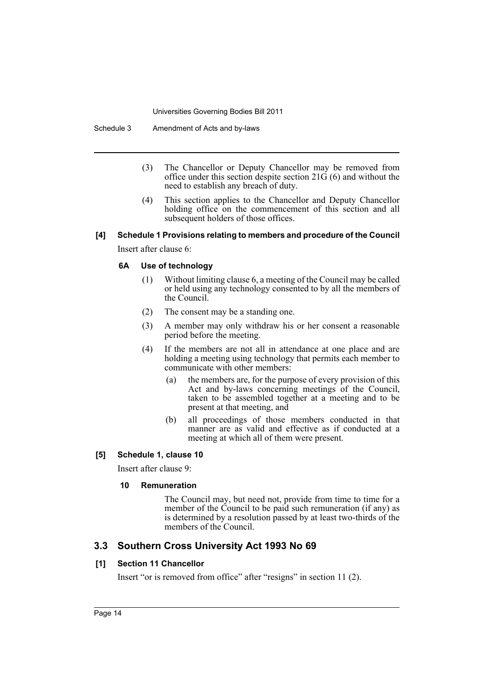Schedule 3 Amendment of Acts and by-laws

- (3) The Chancellor or Deputy Chancellor may be removed from office under this section despite section  $21\ddot{G}(6)$  and without the need to establish any breach of duty.
- (4) This section applies to the Chancellor and Deputy Chancellor holding office on the commencement of this section and all subsequent holders of those offices.

# **[4] Schedule 1 Provisions relating to members and procedure of the Council**

Insert after clause 6:

#### **6A Use of technology**

- (1) Without limiting clause 6, a meeting of the Council may be called or held using any technology consented to by all the members of the Council.
- (2) The consent may be a standing one.
- (3) A member may only withdraw his or her consent a reasonable period before the meeting.
- (4) If the members are not all in attendance at one place and are holding a meeting using technology that permits each member to communicate with other members:
	- (a) the members are, for the purpose of every provision of this Act and by-laws concerning meetings of the Council, taken to be assembled together at a meeting and to be present at that meeting, and
	- (b) all proceedings of those members conducted in that manner are as valid and effective as if conducted at a meeting at which all of them were present.

# **[5] Schedule 1, clause 10**

Insert after clause 9:

# **10 Remuneration**

The Council may, but need not, provide from time to time for a member of the Council to be paid such remuneration (if any) as is determined by a resolution passed by at least two-thirds of the members of the Council.

# **3.3 Southern Cross University Act 1993 No 69**

# **[1] Section 11 Chancellor**

Insert "or is removed from office" after "resigns" in section 11 (2).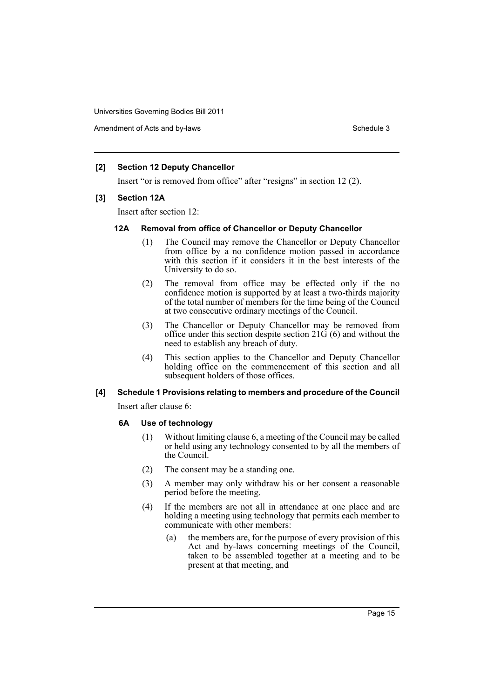Amendment of Acts and by-laws Schedule 3 and  $\mathbf{S}$  chedule 3

# **[2] Section 12 Deputy Chancellor**

Insert "or is removed from office" after "resigns" in section 12 (2).

#### **[3] Section 12A**

Insert after section 12:

# **12A Removal from office of Chancellor or Deputy Chancellor**

- (1) The Council may remove the Chancellor or Deputy Chancellor from office by a no confidence motion passed in accordance with this section if it considers it in the best interests of the University to do so.
- (2) The removal from office may be effected only if the no confidence motion is supported by at least a two-thirds majority of the total number of members for the time being of the Council at two consecutive ordinary meetings of the Council.
- (3) The Chancellor or Deputy Chancellor may be removed from office under this section despite section  $21\ddot{G}(6)$  and without the need to establish any breach of duty.
- (4) This section applies to the Chancellor and Deputy Chancellor holding office on the commencement of this section and all subsequent holders of those offices.

# **[4] Schedule 1 Provisions relating to members and procedure of the Council**

Insert after clause 6:

# **6A Use of technology**

- (1) Without limiting clause 6, a meeting of the Council may be called or held using any technology consented to by all the members of the Council.
- (2) The consent may be a standing one.
- (3) A member may only withdraw his or her consent a reasonable period before the meeting.
- (4) If the members are not all in attendance at one place and are holding a meeting using technology that permits each member to communicate with other members:
	- (a) the members are, for the purpose of every provision of this Act and by-laws concerning meetings of the Council, taken to be assembled together at a meeting and to be present at that meeting, and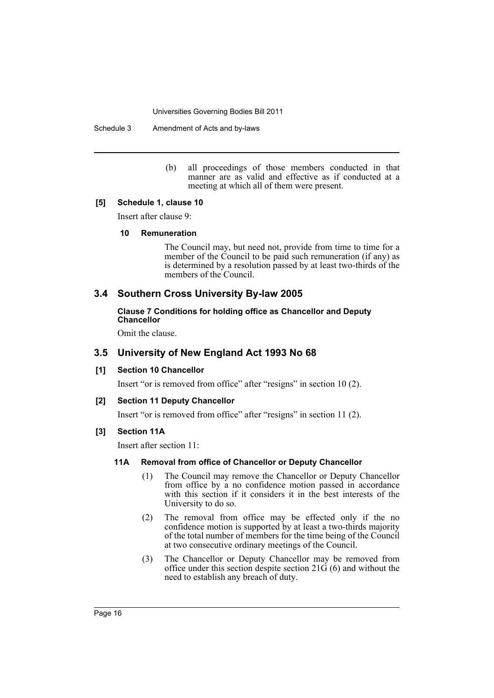Schedule 3 Amendment of Acts and by-laws

(b) all proceedings of those members conducted in that manner are as valid and effective as if conducted at a meeting at which all of them were present.

#### **[5] Schedule 1, clause 10**

Insert after clause 9:

#### **10 Remuneration**

The Council may, but need not, provide from time to time for a member of the Council to be paid such remuneration (if any) as is determined by a resolution passed by at least two-thirds of the members of the Council.

# **3.4 Southern Cross University By-law 2005**

# **Clause 7 Conditions for holding office as Chancellor and Deputy Chancellor**

Omit the clause.

# **3.5 University of New England Act 1993 No 68**

#### **[1] Section 10 Chancellor**

Insert "or is removed from office" after "resigns" in section 10 (2).

#### **[2] Section 11 Deputy Chancellor**

Insert "or is removed from office" after "resigns" in section 11 (2).

#### **[3] Section 11A**

Insert after section 11:

# **11A Removal from office of Chancellor or Deputy Chancellor**

- (1) The Council may remove the Chancellor or Deputy Chancellor from office by a no confidence motion passed in accordance with this section if it considers it in the best interests of the University to do so.
- (2) The removal from office may be effected only if the no confidence motion is supported by at least a two-thirds majority of the total number of members for the time being of the Council at two consecutive ordinary meetings of the Council.
- (3) The Chancellor or Deputy Chancellor may be removed from office under this section despite section  $21\ddot{G}(6)$  and without the need to establish any breach of duty.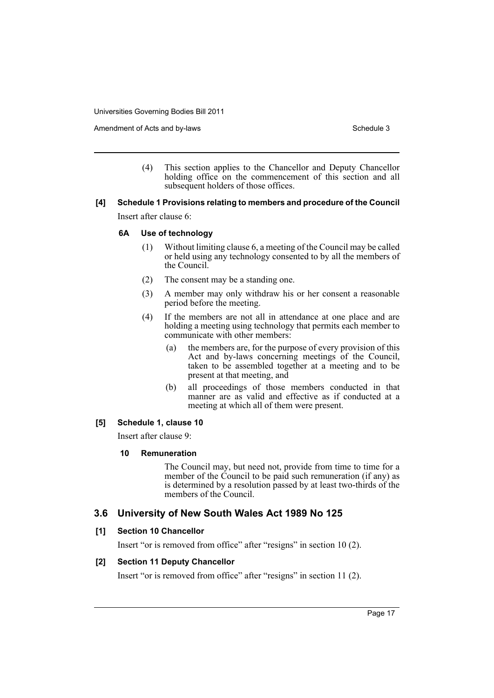Amendment of Acts and by-laws Schedule 3 and  $\frac{1}{2}$  Schedule 3

(4) This section applies to the Chancellor and Deputy Chancellor holding office on the commencement of this section and all subsequent holders of those offices.

# **[4] Schedule 1 Provisions relating to members and procedure of the Council**

Insert after clause 6:

#### **6A Use of technology**

- (1) Without limiting clause 6, a meeting of the Council may be called or held using any technology consented to by all the members of the Council.
- (2) The consent may be a standing one.
- (3) A member may only withdraw his or her consent a reasonable period before the meeting.
- (4) If the members are not all in attendance at one place and are holding a meeting using technology that permits each member to communicate with other members:
	- (a) the members are, for the purpose of every provision of this Act and by-laws concerning meetings of the Council, taken to be assembled together at a meeting and to be present at that meeting, and
	- (b) all proceedings of those members conducted in that manner are as valid and effective as if conducted at a meeting at which all of them were present.

# **[5] Schedule 1, clause 10**

Insert after clause 9:

# **10 Remuneration**

The Council may, but need not, provide from time to time for a member of the Council to be paid such remuneration (if any) as is determined by a resolution passed by at least two-thirds of the members of the Council.

# **3.6 University of New South Wales Act 1989 No 125**

# **[1] Section 10 Chancellor**

Insert "or is removed from office" after "resigns" in section 10 (2).

# **[2] Section 11 Deputy Chancellor**

Insert "or is removed from office" after "resigns" in section 11 (2).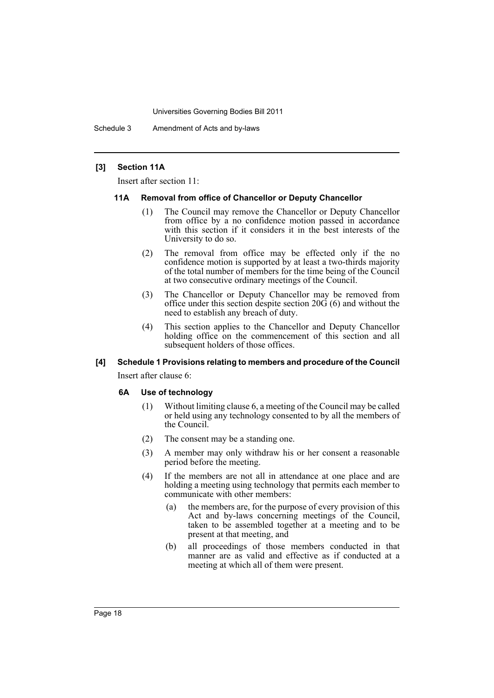Schedule 3 Amendment of Acts and by-laws

#### **[3] Section 11A**

Insert after section 11:

#### **11A Removal from office of Chancellor or Deputy Chancellor**

- (1) The Council may remove the Chancellor or Deputy Chancellor from office by a no confidence motion passed in accordance with this section if it considers it in the best interests of the University to do so.
- (2) The removal from office may be effected only if the no confidence motion is supported by at least a two-thirds majority of the total number of members for the time being of the Council at two consecutive ordinary meetings of the Council.
- (3) The Chancellor or Deputy Chancellor may be removed from office under this section despite section 20G (6) and without the need to establish any breach of duty.
- (4) This section applies to the Chancellor and Deputy Chancellor holding office on the commencement of this section and all subsequent holders of those offices.

#### **[4] Schedule 1 Provisions relating to members and procedure of the Council**

Insert after clause 6:

#### **6A Use of technology**

- (1) Without limiting clause 6, a meeting of the Council may be called or held using any technology consented to by all the members of the Council.
- (2) The consent may be a standing one.
- (3) A member may only withdraw his or her consent a reasonable period before the meeting.
- (4) If the members are not all in attendance at one place and are holding a meeting using technology that permits each member to communicate with other members:
	- (a) the members are, for the purpose of every provision of this Act and by-laws concerning meetings of the Council, taken to be assembled together at a meeting and to be present at that meeting, and
	- (b) all proceedings of those members conducted in that manner are as valid and effective as if conducted at a meeting at which all of them were present.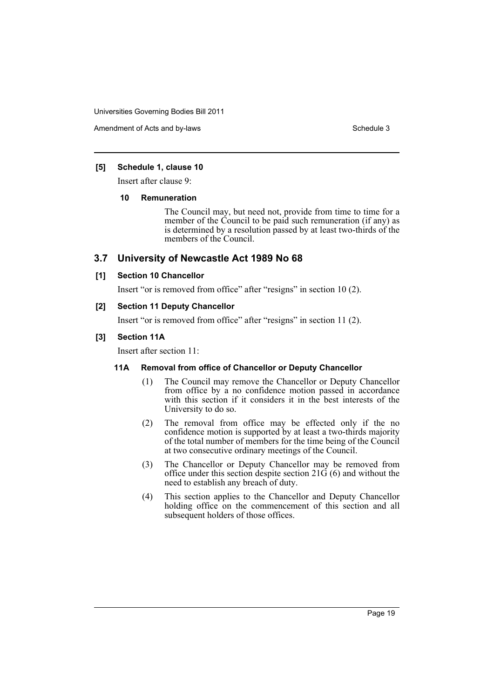Amendment of Acts and by-laws Schedule 3 and  $\overline{S}$  Schedule 3

#### **[5] Schedule 1, clause 10**

Insert after clause 9:

#### **10 Remuneration**

The Council may, but need not, provide from time to time for a member of the Council to be paid such remuneration (if any) as is determined by a resolution passed by at least two-thirds of the members of the Council.

# **3.7 University of Newcastle Act 1989 No 68**

#### **[1] Section 10 Chancellor**

Insert "or is removed from office" after "resigns" in section 10 (2).

#### **[2] Section 11 Deputy Chancellor**

Insert "or is removed from office" after "resigns" in section 11 (2).

#### **[3] Section 11A**

Insert after section 11:

# **11A Removal from office of Chancellor or Deputy Chancellor**

- (1) The Council may remove the Chancellor or Deputy Chancellor from office by a no confidence motion passed in accordance with this section if it considers it in the best interests of the University to do so.
- (2) The removal from office may be effected only if the no confidence motion is supported by at least a two-thirds majority of the total number of members for the time being of the Council at two consecutive ordinary meetings of the Council.
- (3) The Chancellor or Deputy Chancellor may be removed from office under this section despite section  $21\ddot{G}(6)$  and without the need to establish any breach of duty.
- (4) This section applies to the Chancellor and Deputy Chancellor holding office on the commencement of this section and all subsequent holders of those offices.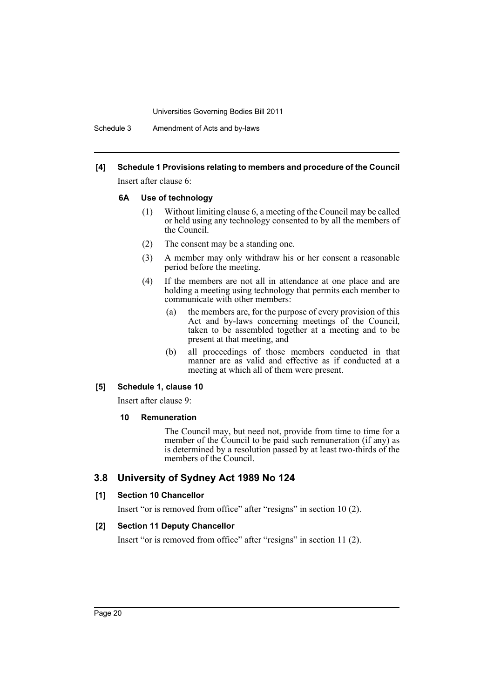Schedule 3 Amendment of Acts and by-laws

# **[4] Schedule 1 Provisions relating to members and procedure of the Council**

Insert after clause 6:

#### **6A Use of technology**

- (1) Without limiting clause 6, a meeting of the Council may be called or held using any technology consented to by all the members of the Council.
- (2) The consent may be a standing one.
- (3) A member may only withdraw his or her consent a reasonable period before the meeting.
- (4) If the members are not all in attendance at one place and are holding a meeting using technology that permits each member to communicate with other members:
	- (a) the members are, for the purpose of every provision of this Act and by-laws concerning meetings of the Council, taken to be assembled together at a meeting and to be present at that meeting, and
	- (b) all proceedings of those members conducted in that manner are as valid and effective as if conducted at a meeting at which all of them were present.

# **[5] Schedule 1, clause 10**

Insert after clause 9:

# **10 Remuneration**

The Council may, but need not, provide from time to time for a member of the Council to be paid such remuneration (if any) as is determined by a resolution passed by at least two-thirds of the members of the Council.

# **3.8 University of Sydney Act 1989 No 124**

# **[1] Section 10 Chancellor**

Insert "or is removed from office" after "resigns" in section 10 (2).

# **[2] Section 11 Deputy Chancellor**

Insert "or is removed from office" after "resigns" in section 11 (2).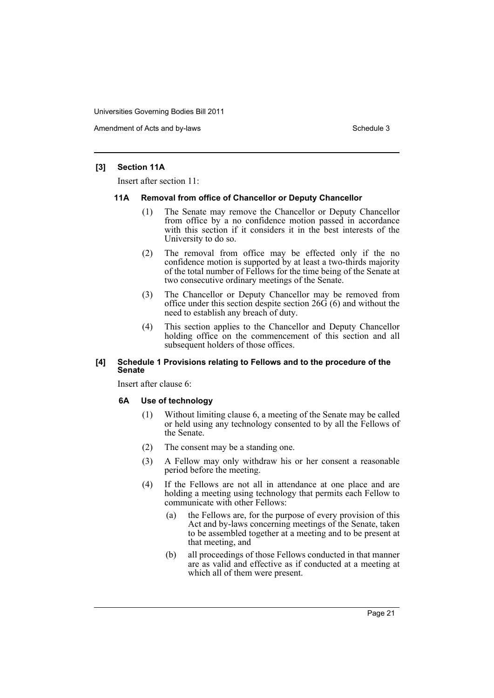Amendment of Acts and by-laws Schedule 3 and  $\mathbf{S}$  chedule 3

#### **[3] Section 11A**

Insert after section 11:

#### **11A Removal from office of Chancellor or Deputy Chancellor**

- (1) The Senate may remove the Chancellor or Deputy Chancellor from office by a no confidence motion passed in accordance with this section if it considers it in the best interests of the University to do so.
- (2) The removal from office may be effected only if the no confidence motion is supported by at least a two-thirds majority of the total number of Fellows for the time being of the Senate at two consecutive ordinary meetings of the Senate.
- (3) The Chancellor or Deputy Chancellor may be removed from office under this section despite section  $26\ddot{6}$  (6) and without the need to establish any breach of duty.
- (4) This section applies to the Chancellor and Deputy Chancellor holding office on the commencement of this section and all subsequent holders of those offices.

#### **[4] Schedule 1 Provisions relating to Fellows and to the procedure of the Senate**

Insert after clause 6:

#### **6A Use of technology**

- (1) Without limiting clause 6, a meeting of the Senate may be called or held using any technology consented to by all the Fellows of the Senate.
- (2) The consent may be a standing one.
- (3) A Fellow may only withdraw his or her consent a reasonable period before the meeting.
- (4) If the Fellows are not all in attendance at one place and are holding a meeting using technology that permits each Fellow to communicate with other Fellows:
	- (a) the Fellows are, for the purpose of every provision of this Act and by-laws concerning meetings of the Senate, taken to be assembled together at a meeting and to be present at that meeting, and
	- (b) all proceedings of those Fellows conducted in that manner are as valid and effective as if conducted at a meeting at which all of them were present.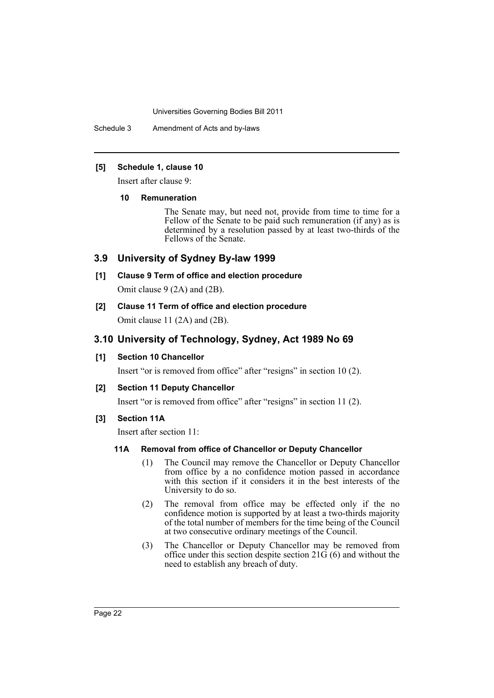Schedule 3 Amendment of Acts and by-laws

#### **[5] Schedule 1, clause 10**

Insert after clause 9:

#### **10 Remuneration**

The Senate may, but need not, provide from time to time for a Fellow of the Senate to be paid such remuneration (if any) as is determined by a resolution passed by at least two-thirds of the Fellows of the Senate.

# **3.9 University of Sydney By-law 1999**

# **[1] Clause 9 Term of office and election procedure**

Omit clause 9 (2A) and (2B).

**[2] Clause 11 Term of office and election procedure**

Omit clause 11 (2A) and (2B).

# **3.10 University of Technology, Sydney, Act 1989 No 69**

# **[1] Section 10 Chancellor**

Insert "or is removed from office" after "resigns" in section 10 (2).

# **[2] Section 11 Deputy Chancellor**

Insert "or is removed from office" after "resigns" in section 11 (2).

# **[3] Section 11A**

Insert after section 11:

# **11A Removal from office of Chancellor or Deputy Chancellor**

- (1) The Council may remove the Chancellor or Deputy Chancellor from office by a no confidence motion passed in accordance with this section if it considers it in the best interests of the University to do so.
- (2) The removal from office may be effected only if the no confidence motion is supported by at least a two-thirds majority of the total number of members for the time being of the Council at two consecutive ordinary meetings of the Council.
- (3) The Chancellor or Deputy Chancellor may be removed from office under this section despite section  $21\ddot{G}(6)$  and without the need to establish any breach of duty.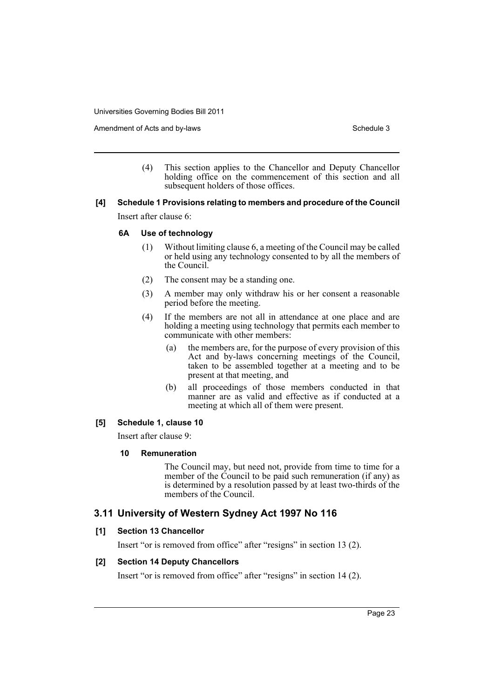Amendment of Acts and by-laws Schedule 3 and  $\frac{1}{2}$  Schedule 3

(4) This section applies to the Chancellor and Deputy Chancellor holding office on the commencement of this section and all subsequent holders of those offices.

# **[4] Schedule 1 Provisions relating to members and procedure of the Council**

Insert after clause 6:

#### **6A Use of technology**

- (1) Without limiting clause 6, a meeting of the Council may be called or held using any technology consented to by all the members of the Council.
- (2) The consent may be a standing one.
- (3) A member may only withdraw his or her consent a reasonable period before the meeting.
- (4) If the members are not all in attendance at one place and are holding a meeting using technology that permits each member to communicate with other members:
	- (a) the members are, for the purpose of every provision of this Act and by-laws concerning meetings of the Council, taken to be assembled together at a meeting and to be present at that meeting, and
	- (b) all proceedings of those members conducted in that manner are as valid and effective as if conducted at a meeting at which all of them were present.

# **[5] Schedule 1, clause 10**

Insert after clause 9:

# **10 Remuneration**

The Council may, but need not, provide from time to time for a member of the Council to be paid such remuneration (if any) as is determined by a resolution passed by at least two-thirds of the members of the Council.

# **3.11 University of Western Sydney Act 1997 No 116**

# **[1] Section 13 Chancellor**

Insert "or is removed from office" after "resigns" in section 13 (2).

# **[2] Section 14 Deputy Chancellors**

Insert "or is removed from office" after "resigns" in section 14 (2).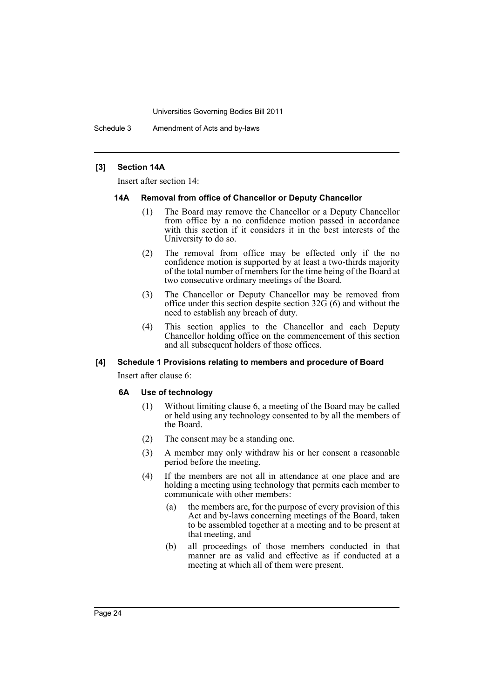Schedule 3 Amendment of Acts and by-laws

#### **[3] Section 14A**

Insert after section 14:

#### **14A Removal from office of Chancellor or Deputy Chancellor**

- (1) The Board may remove the Chancellor or a Deputy Chancellor from office by a no confidence motion passed in accordance with this section if it considers it in the best interests of the University to do so.
- (2) The removal from office may be effected only if the no confidence motion is supported by at least a two-thirds majority of the total number of members for the time being of the Board at two consecutive ordinary meetings of the Board.
- (3) The Chancellor or Deputy Chancellor may be removed from office under this section despite section  $32\ddot{G}(6)$  and without the need to establish any breach of duty.
- (4) This section applies to the Chancellor and each Deputy Chancellor holding office on the commencement of this section and all subsequent holders of those offices.

#### **[4] Schedule 1 Provisions relating to members and procedure of Board**

Insert after clause 6:

#### **6A Use of technology**

- (1) Without limiting clause 6, a meeting of the Board may be called or held using any technology consented to by all the members of the Board.
- (2) The consent may be a standing one.
- (3) A member may only withdraw his or her consent a reasonable period before the meeting.
- (4) If the members are not all in attendance at one place and are holding a meeting using technology that permits each member to communicate with other members:
	- (a) the members are, for the purpose of every provision of this Act and by-laws concerning meetings of the Board, taken to be assembled together at a meeting and to be present at that meeting, and
	- (b) all proceedings of those members conducted in that manner are as valid and effective as if conducted at a meeting at which all of them were present.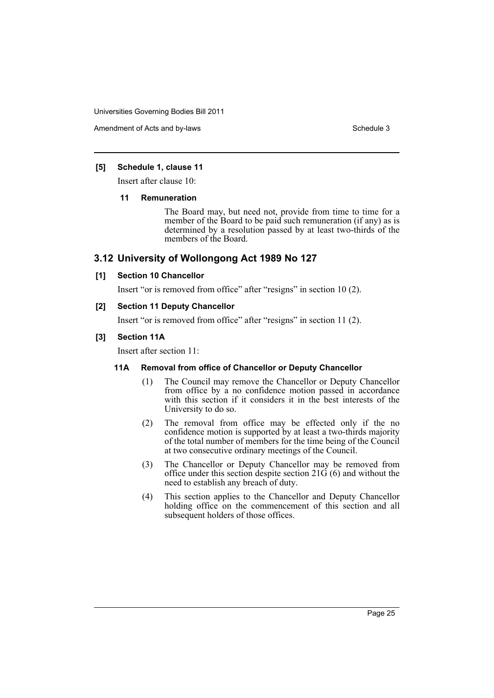Amendment of Acts and by-laws Schedule 3 and  $\overline{S}$  Schedule 3

#### **[5] Schedule 1, clause 11**

Insert after clause 10:

#### **11 Remuneration**

The Board may, but need not, provide from time to time for a member of the Board to be paid such remuneration (if any) as is determined by a resolution passed by at least two-thirds of the members of the Board.

# **3.12 University of Wollongong Act 1989 No 127**

# **[1] Section 10 Chancellor**

Insert "or is removed from office" after "resigns" in section 10 (2).

#### **[2] Section 11 Deputy Chancellor**

Insert "or is removed from office" after "resigns" in section 11 (2).

#### **[3] Section 11A**

Insert after section 11:

# **11A Removal from office of Chancellor or Deputy Chancellor**

- (1) The Council may remove the Chancellor or Deputy Chancellor from office by a no confidence motion passed in accordance with this section if it considers it in the best interests of the University to do so.
- (2) The removal from office may be effected only if the no confidence motion is supported by at least a two-thirds majority of the total number of members for the time being of the Council at two consecutive ordinary meetings of the Council.
- (3) The Chancellor or Deputy Chancellor may be removed from office under this section despite section  $21\ddot{G}(6)$  and without the need to establish any breach of duty.
- (4) This section applies to the Chancellor and Deputy Chancellor holding office on the commencement of this section and all subsequent holders of those offices.